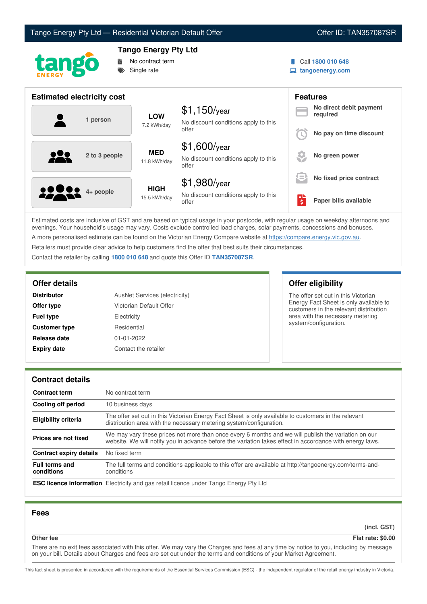



# **Tango Energy Pty Ltd**

No contract term Single rate

- Call **1800 010 648**
- **tangoenergy.com**

| <b>Estimated electricity cost</b> |                             |                                                                 |          | <b>Features</b>                     |
|-----------------------------------|-----------------------------|-----------------------------------------------------------------|----------|-------------------------------------|
| 1 person                          | <b>LOW</b><br>7.2 kWh/day   | $$1,150$ /year<br>No discount conditions apply to this<br>offer |          | No direct debit payment<br>required |
|                                   |                             |                                                                 |          | No pay on time discount             |
| <u>929</u><br>2 to 3 people       | <b>MED</b><br>11.8 kWh/day  | $$1,600$ /year<br>No discount conditions apply to this<br>offer |          | No green power                      |
|                                   |                             | $$1,980$ /year                                                  | $\equiv$ | No fixed price contract             |
| <b>2000</b> 4+ people             | <b>HIGH</b><br>15.5 kWh/day | No discount conditions apply to this<br>offer                   | ١\$      | Paper bills available               |

Estimated costs are inclusive of GST and are based on typical usage in your postcode, with regular usage on weekday afternoons and evenings. Your household's usage may vary. Costs exclude controlled load charges, solar payments, concessions and bonuses. A more personalised estimate can be found on the Victorian Energy Compare website at <https://compare.energy.vic.gov.au>.

Retailers must provide clear advice to help customers find the offer that best suits their circumstances.

Contact the retailer by calling **1800 010 648** and quote this Offer ID **TAN357087SR**.

| <b>Distributor</b>                         | AusNet Services (electricity) |
|--------------------------------------------|-------------------------------|
| Offer type                                 | Victorian Default Offer       |
| <b>Fuel type</b>                           | Electricity                   |
| <b>Customer type</b>                       | Residential                   |
| Release date                               | $01 - 01 - 2022$              |
| <b>Expiry date</b><br>Contact the retailer |                               |

**Offer details Offer eligibility**

The offer set out in this Victorian Energy Fact Sheet is only available to customers in the relevant distribution area with the necessary metering system/configuration.

## **Contract details**

| <b>Contract term</b>                | No contract term                                                                                                                                                                                                |  |
|-------------------------------------|-----------------------------------------------------------------------------------------------------------------------------------------------------------------------------------------------------------------|--|
| Cooling off period                  | 10 business days                                                                                                                                                                                                |  |
| <b>Eligibility criteria</b>         | The offer set out in this Victorian Energy Fact Sheet is only available to customers in the relevant<br>distribution area with the necessary metering system/configuration.                                     |  |
| Prices are not fixed                | We may vary these prices not more than once every 6 months and we will publish the variation on our<br>website. We will notify you in advance before the variation takes effect in accordance with energy laws. |  |
| Contract expiry details             | No fixed term                                                                                                                                                                                                   |  |
| <b>Full terms and</b><br>conditions | The full terms and conditions applicable to this offer are available at http://tangoenergy.com/terms-and-<br>conditions                                                                                         |  |
|                                     | <b>ESC licence information</b> Electricity and gas retail licence under Tango Energy Pty Ltd                                                                                                                    |  |

### **Fees**

**(incl. GST)**

**Other fee Flat rate: \$0.00**

There are no exit fees associated with this offer. We may vary the Charges and fees at any time by notice to you, including by message on your bill. Details about Charges and fees are set out under the terms and conditions of your Market Agreement.

This fact sheet is presented in accordance with the requirements of the Essential Services Commission (ESC) - the independent regulator of the retail energy industry in Victoria.